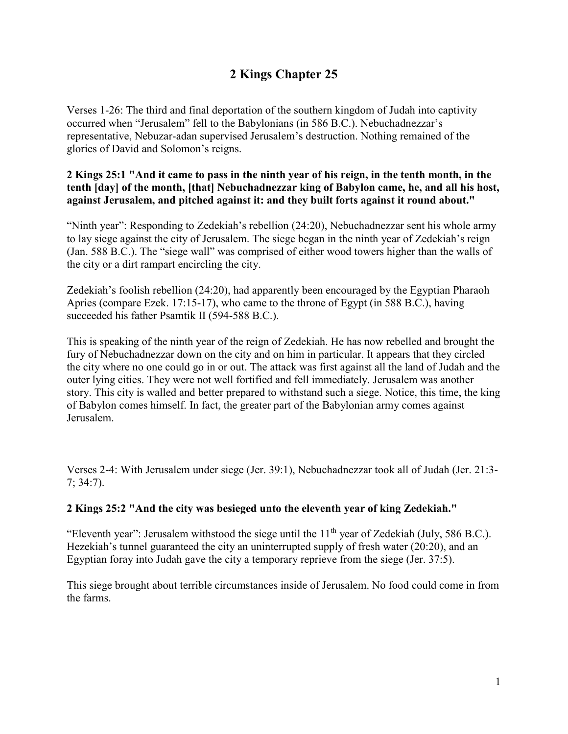# **2 Kings Chapter 25**

Verses 1-26: The third and final deportation of the southern kingdom of Judah into captivity occurred when "Jerusalem" fell to the Babylonians (in 586 B.C.). Nebuchadnezzar's representative, Nebuzar-adan supervised Jerusalem's destruction. Nothing remained of the glories of David and Solomon's reigns.

# **2 Kings 25:1 "And it came to pass in the ninth year of his reign, in the tenth month, in the tenth [day] of the month, [that] Nebuchadnezzar king of Babylon came, he, and all his host, against Jerusalem, and pitched against it: and they built forts against it round about."**

"Ninth year": Responding to Zedekiah's rebellion (24:20), Nebuchadnezzar sent his whole army to lay siege against the city of Jerusalem. The siege began in the ninth year of Zedekiah's reign (Jan. 588 B.C.). The "siege wall" was comprised of either wood towers higher than the walls of the city or a dirt rampart encircling the city.

Zedekiah's foolish rebellion (24:20), had apparently been encouraged by the Egyptian Pharaoh Apries (compare Ezek. 17:15-17), who came to the throne of Egypt (in 588 B.C.), having succeeded his father Psamtik II (594-588 B.C.).

This is speaking of the ninth year of the reign of Zedekiah. He has now rebelled and brought the fury of Nebuchadnezzar down on the city and on him in particular. It appears that they circled the city where no one could go in or out. The attack was first against all the land of Judah and the outer lying cities. They were not well fortified and fell immediately. Jerusalem was another story. This city is walled and better prepared to withstand such a siege. Notice, this time, the king of Babylon comes himself. In fact, the greater part of the Babylonian army comes against Jerusalem.

Verses 2-4: With Jerusalem under siege (Jer. 39:1), Nebuchadnezzar took all of Judah (Jer. 21:3- 7; 34:7).

# **2 Kings 25:2 "And the city was besieged unto the eleventh year of king Zedekiah."**

"Eleventh year": Jerusalem withstood the siege until the  $11<sup>th</sup>$  year of Zedekiah (July, 586 B.C.). Hezekiah's tunnel guaranteed the city an uninterrupted supply of fresh water (20:20), and an Egyptian foray into Judah gave the city a temporary reprieve from the siege (Jer. 37:5).

This siege brought about terrible circumstances inside of Jerusalem. No food could come in from the farms.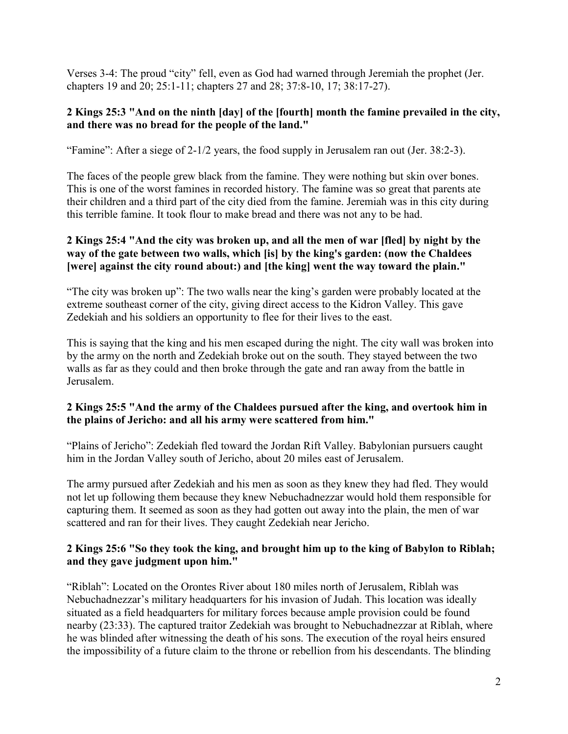Verses 3-4: The proud "city" fell, even as God had warned through Jeremiah the prophet (Jer. chapters 19 and 20; 25:1-11; chapters 27 and 28; 37:8-10, 17; 38:17-27).

### **2 Kings 25:3 "And on the ninth [day] of the [fourth] month the famine prevailed in the city, and there was no bread for the people of the land."**

"Famine": After a siege of 2-1/2 years, the food supply in Jerusalem ran out (Jer. 38:2-3).

The faces of the people grew black from the famine. They were nothing but skin over bones. This is one of the worst famines in recorded history. The famine was so great that parents ate their children and a third part of the city died from the famine. Jeremiah was in this city during this terrible famine. It took flour to make bread and there was not any to be had.

# **2 Kings 25:4 "And the city was broken up, and all the men of war [fled] by night by the way of the gate between two walls, which [is] by the king's garden: (now the Chaldees [were] against the city round about:) and [the king] went the way toward the plain."**

"The city was broken up": The two walls near the king's garden were probably located at the extreme southeast corner of the city, giving direct access to the Kidron Valley. This gave Zedekiah and his soldiers an opportunity to flee for their lives to the east.

This is saying that the king and his men escaped during the night. The city wall was broken into by the army on the north and Zedekiah broke out on the south. They stayed between the two walls as far as they could and then broke through the gate and ran away from the battle in Jerusalem.

# **2 Kings 25:5 "And the army of the Chaldees pursued after the king, and overtook him in the plains of Jericho: and all his army were scattered from him."**

"Plains of Jericho": Zedekiah fled toward the Jordan Rift Valley. Babylonian pursuers caught him in the Jordan Valley south of Jericho, about 20 miles east of Jerusalem.

The army pursued after Zedekiah and his men as soon as they knew they had fled. They would not let up following them because they knew Nebuchadnezzar would hold them responsible for capturing them. It seemed as soon as they had gotten out away into the plain, the men of war scattered and ran for their lives. They caught Zedekiah near Jericho.

# **2 Kings 25:6 "So they took the king, and brought him up to the king of Babylon to Riblah; and they gave judgment upon him."**

"Riblah": Located on the Orontes River about 180 miles north of Jerusalem, Riblah was Nebuchadnezzar's military headquarters for his invasion of Judah. This location was ideally situated as a field headquarters for military forces because ample provision could be found nearby (23:33). The captured traitor Zedekiah was brought to Nebuchadnezzar at Riblah, where he was blinded after witnessing the death of his sons. The execution of the royal heirs ensured the impossibility of a future claim to the throne or rebellion from his descendants. The blinding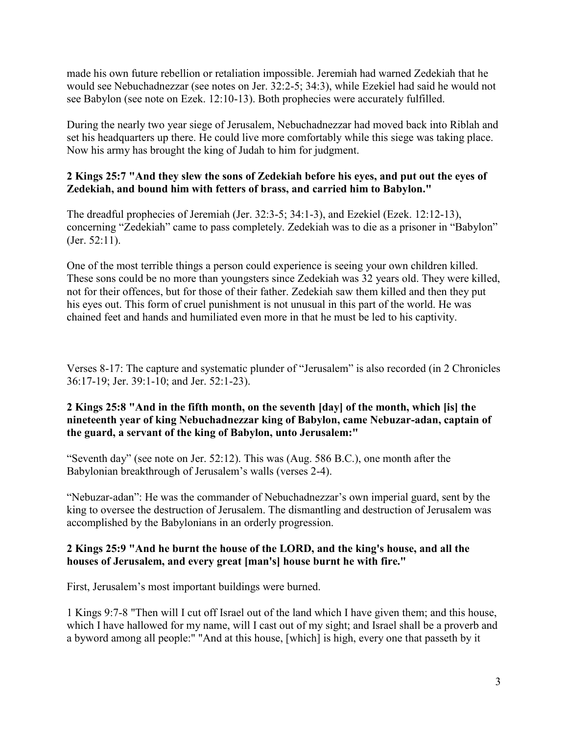made his own future rebellion or retaliation impossible. Jeremiah had warned Zedekiah that he would see Nebuchadnezzar (see notes on Jer. 32:2-5; 34:3), while Ezekiel had said he would not see Babylon (see note on Ezek. 12:10-13). Both prophecies were accurately fulfilled.

During the nearly two year siege of Jerusalem, Nebuchadnezzar had moved back into Riblah and set his headquarters up there. He could live more comfortably while this siege was taking place. Now his army has brought the king of Judah to him for judgment.

# **2 Kings 25:7 "And they slew the sons of Zedekiah before his eyes, and put out the eyes of Zedekiah, and bound him with fetters of brass, and carried him to Babylon."**

The dreadful prophecies of Jeremiah (Jer. 32:3-5; 34:1-3), and Ezekiel (Ezek. 12:12-13), concerning "Zedekiah" came to pass completely. Zedekiah was to die as a prisoner in "Babylon" (Jer. 52:11).

One of the most terrible things a person could experience is seeing your own children killed. These sons could be no more than youngsters since Zedekiah was 32 years old. They were killed, not for their offences, but for those of their father. Zedekiah saw them killed and then they put his eyes out. This form of cruel punishment is not unusual in this part of the world. He was chained feet and hands and humiliated even more in that he must be led to his captivity.

Verses 8-17: The capture and systematic plunder of "Jerusalem" is also recorded (in 2 Chronicles 36:17-19; Jer. 39:1-10; and Jer. 52:1-23).

# **2 Kings 25:8 "And in the fifth month, on the seventh [day] of the month, which [is] the nineteenth year of king Nebuchadnezzar king of Babylon, came Nebuzar-adan, captain of the guard, a servant of the king of Babylon, unto Jerusalem:"**

"Seventh day" (see note on Jer. 52:12). This was (Aug. 586 B.C.), one month after the Babylonian breakthrough of Jerusalem's walls (verses 2-4).

"Nebuzar-adan": He was the commander of Nebuchadnezzar's own imperial guard, sent by the king to oversee the destruction of Jerusalem. The dismantling and destruction of Jerusalem was accomplished by the Babylonians in an orderly progression.

# **2 Kings 25:9 "And he burnt the house of the LORD, and the king's house, and all the houses of Jerusalem, and every great [man's] house burnt he with fire."**

First, Jerusalem's most important buildings were burned.

1 Kings 9:7-8 "Then will I cut off Israel out of the land which I have given them; and this house, which I have hallowed for my name, will I cast out of my sight; and Israel shall be a proverb and a byword among all people:" "And at this house, [which] is high, every one that passeth by it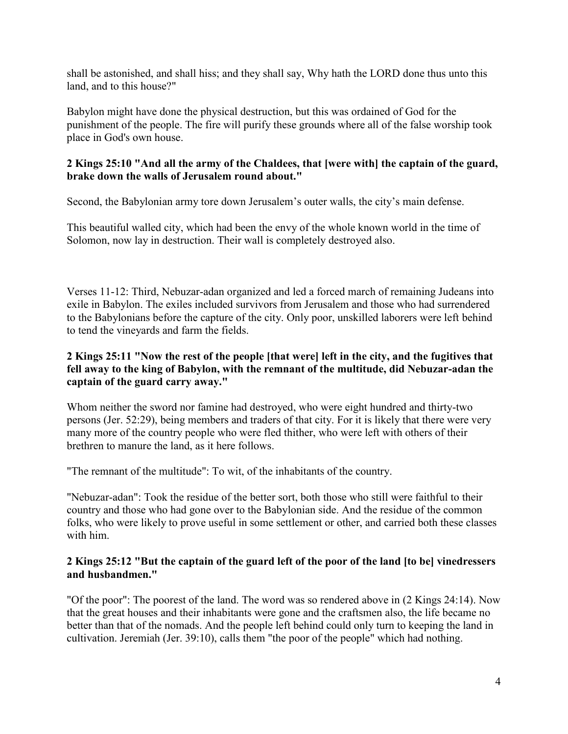shall be astonished, and shall hiss; and they shall say, Why hath the LORD done thus unto this land, and to this house?"

Babylon might have done the physical destruction, but this was ordained of God for the punishment of the people. The fire will purify these grounds where all of the false worship took place in God's own house.

# **2 Kings 25:10 "And all the army of the Chaldees, that [were with] the captain of the guard, brake down the walls of Jerusalem round about."**

Second, the Babylonian army tore down Jerusalem's outer walls, the city's main defense.

This beautiful walled city, which had been the envy of the whole known world in the time of Solomon, now lay in destruction. Their wall is completely destroyed also.

Verses 11-12: Third, Nebuzar-adan organized and led a forced march of remaining Judeans into exile in Babylon. The exiles included survivors from Jerusalem and those who had surrendered to the Babylonians before the capture of the city. Only poor, unskilled laborers were left behind to tend the vineyards and farm the fields.

# **2 Kings 25:11 "Now the rest of the people [that were] left in the city, and the fugitives that fell away to the king of Babylon, with the remnant of the multitude, did Nebuzar-adan the captain of the guard carry away."**

Whom neither the sword nor famine had destroyed, who were eight hundred and thirty-two persons (Jer. 52:29), being members and traders of that city. For it is likely that there were very many more of the country people who were fled thither, who were left with others of their brethren to manure the land, as it here follows.

"The remnant of the multitude": To wit, of the inhabitants of the country.

"Nebuzar-adan": Took the residue of the better sort, both those who still were faithful to their country and those who had gone over to the Babylonian side. And the residue of the common folks, who were likely to prove useful in some settlement or other, and carried both these classes with him.

#### **2 Kings 25:12 "But the captain of the guard left of the poor of the land [to be] vinedressers and husbandmen."**

"Of the poor": The poorest of the land. The word was so rendered above in (2 Kings 24:14). Now that the great houses and their inhabitants were gone and the craftsmen also, the life became no better than that of the nomads. And the people left behind could only turn to keeping the land in cultivation. Jeremiah (Jer. 39:10), calls them "the poor of the people" which had nothing.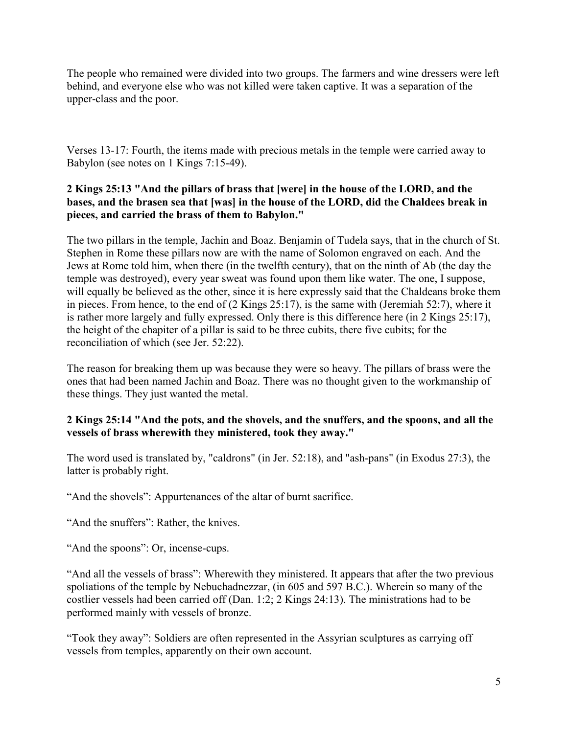The people who remained were divided into two groups. The farmers and wine dressers were left behind, and everyone else who was not killed were taken captive. It was a separation of the upper-class and the poor.

Verses 13-17: Fourth, the items made with precious metals in the temple were carried away to Babylon (see notes on 1 Kings 7:15-49).

# **2 Kings 25:13 "And the pillars of brass that [were] in the house of the LORD, and the bases, and the brasen sea that [was] in the house of the LORD, did the Chaldees break in pieces, and carried the brass of them to Babylon."**

The two pillars in the temple, Jachin and Boaz. Benjamin of Tudela says, that in the church of St. Stephen in Rome these pillars now are with the name of Solomon engraved on each. And the Jews at Rome told him, when there (in the twelfth century), that on the ninth of Ab (the day the temple was destroyed), every year sweat was found upon them like water. The one, I suppose, will equally be believed as the other, since it is here expressly said that the Chaldeans broke them in pieces. From hence, to the end of (2 Kings 25:17), is the same with (Jeremiah 52:7), where it is rather more largely and fully expressed. Only there is this difference here (in 2 Kings 25:17), the height of the chapiter of a pillar is said to be three cubits, there five cubits; for the reconciliation of which (see Jer. 52:22).

The reason for breaking them up was because they were so heavy. The pillars of brass were the ones that had been named Jachin and Boaz. There was no thought given to the workmanship of these things. They just wanted the metal.

# **2 Kings 25:14 "And the pots, and the shovels, and the snuffers, and the spoons, and all the vessels of brass wherewith they ministered, took they away."**

The word used is translated by, "caldrons" (in Jer. 52:18), and "ash-pans" (in Exodus 27:3), the latter is probably right.

"And the shovels": Appurtenances of the altar of burnt sacrifice.

"And the snuffers": Rather, the knives.

"And the spoons": Or, incense-cups.

"And all the vessels of brass": Wherewith they ministered. It appears that after the two previous spoliations of the temple by Nebuchadnezzar, (in 605 and 597 B.C.). Wherein so many of the costlier vessels had been carried off (Dan. 1:2; 2 Kings 24:13). The ministrations had to be performed mainly with vessels of bronze.

"Took they away": Soldiers are often represented in the Assyrian sculptures as carrying off vessels from temples, apparently on their own account.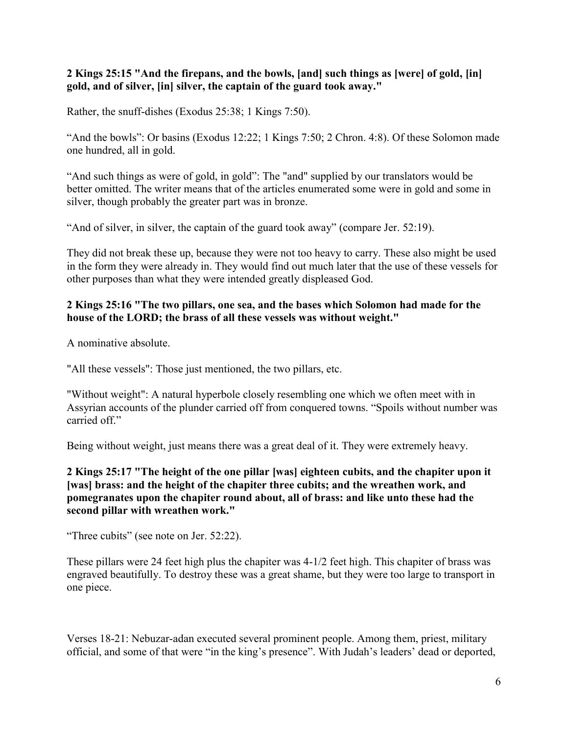# **2 Kings 25:15 "And the firepans, and the bowls, [and] such things as [were] of gold, [in] gold, and of silver, [in] silver, the captain of the guard took away."**

Rather, the snuff-dishes (Exodus 25:38; 1 Kings 7:50).

"And the bowls": Or basins (Exodus 12:22; 1 Kings 7:50; 2 Chron. 4:8). Of these Solomon made one hundred, all in gold.

"And such things as were of gold, in gold": The "and" supplied by our translators would be better omitted. The writer means that of the articles enumerated some were in gold and some in silver, though probably the greater part was in bronze.

"And of silver, in silver, the captain of the guard took away" (compare Jer. 52:19).

They did not break these up, because they were not too heavy to carry. These also might be used in the form they were already in. They would find out much later that the use of these vessels for other purposes than what they were intended greatly displeased God.

#### **2 Kings 25:16 "The two pillars, one sea, and the bases which Solomon had made for the house of the LORD; the brass of all these vessels was without weight."**

A nominative absolute.

"All these vessels": Those just mentioned, the two pillars, etc.

"Without weight": A natural hyperbole closely resembling one which we often meet with in Assyrian accounts of the plunder carried off from conquered towns. "Spoils without number was carried off"

Being without weight, just means there was a great deal of it. They were extremely heavy.

**2 Kings 25:17 "The height of the one pillar [was] eighteen cubits, and the chapiter upon it [was] brass: and the height of the chapiter three cubits; and the wreathen work, and pomegranates upon the chapiter round about, all of brass: and like unto these had the second pillar with wreathen work."**

"Three cubits" (see note on Jer. 52:22).

These pillars were 24 feet high plus the chapiter was 4-1/2 feet high. This chapiter of brass was engraved beautifully. To destroy these was a great shame, but they were too large to transport in one piece.

Verses 18-21: Nebuzar-adan executed several prominent people. Among them, priest, military official, and some of that were "in the king's presence". With Judah's leaders' dead or deported,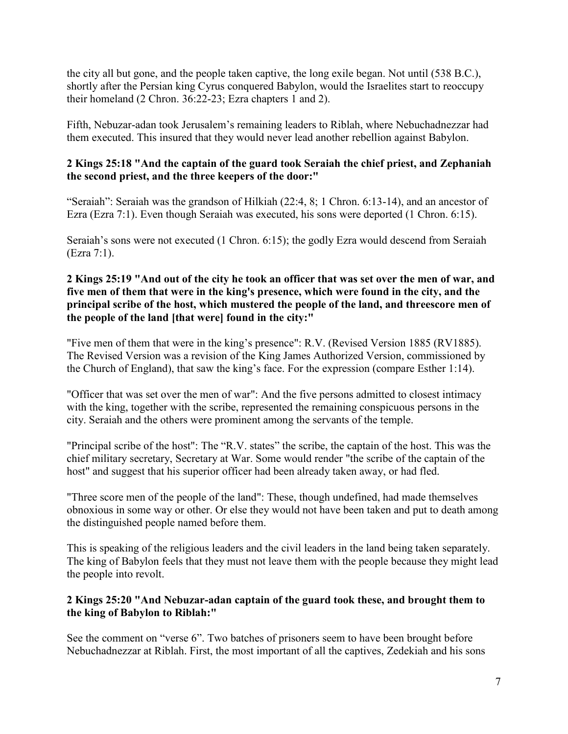the city all but gone, and the people taken captive, the long exile began. Not until (538 B.C.), shortly after the Persian king Cyrus conquered Babylon, would the Israelites start to reoccupy their homeland (2 Chron. 36:22-23; Ezra chapters 1 and 2).

Fifth, Nebuzar-adan took Jerusalem's remaining leaders to Riblah, where Nebuchadnezzar had them executed. This insured that they would never lead another rebellion against Babylon.

# **2 Kings 25:18 "And the captain of the guard took Seraiah the chief priest, and Zephaniah the second priest, and the three keepers of the door:"**

"Seraiah": Seraiah was the grandson of Hilkiah (22:4, 8; 1 Chron. 6:13-14), and an ancestor of Ezra (Ezra 7:1). Even though Seraiah was executed, his sons were deported (1 Chron. 6:15).

Seraiah's sons were not executed (1 Chron. 6:15); the godly Ezra would descend from Seraiah (Ezra 7:1).

# **2 Kings 25:19 "And out of the city he took an officer that was set over the men of war, and five men of them that were in the king's presence, which were found in the city, and the principal scribe of the host, which mustered the people of the land, and threescore men of the people of the land [that were] found in the city:"**

"Five men of them that were in the king's presence": R.V. (Revised Version 1885 (RV1885). The Revised Version was a revision of the King James Authorized Version, commissioned by the Church of England), that saw the king's face. For the expression (compare Esther 1:14).

"Officer that was set over the men of war": And the five persons admitted to closest intimacy with the king, together with the scribe, represented the remaining conspicuous persons in the city. Seraiah and the others were prominent among the servants of the temple.

"Principal scribe of the host": The "R.V. states" the scribe, the captain of the host. This was the chief military secretary, Secretary at War. Some would render "the scribe of the captain of the host" and suggest that his superior officer had been already taken away, or had fled.

"Three score men of the people of the land": These, though undefined, had made themselves obnoxious in some way or other. Or else they would not have been taken and put to death among the distinguished people named before them.

This is speaking of the religious leaders and the civil leaders in the land being taken separately. The king of Babylon feels that they must not leave them with the people because they might lead the people into revolt.

# **2 Kings 25:20 "And Nebuzar-adan captain of the guard took these, and brought them to the king of Babylon to Riblah:"**

See the comment on "verse 6". Two batches of prisoners seem to have been brought before Nebuchadnezzar at Riblah. First, the most important of all the captives, Zedekiah and his sons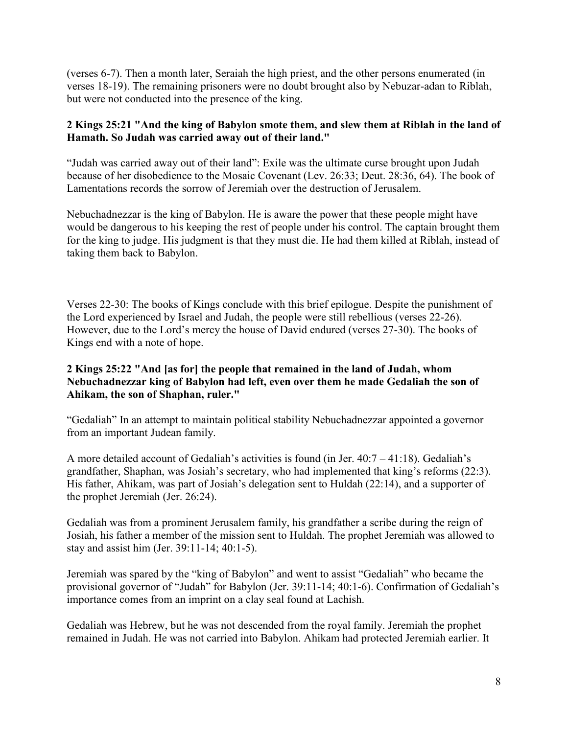(verses 6-7). Then a month later, Seraiah the high priest, and the other persons enumerated (in verses 18-19). The remaining prisoners were no doubt brought also by Nebuzar-adan to Riblah, but were not conducted into the presence of the king.

# **2 Kings 25:21 "And the king of Babylon smote them, and slew them at Riblah in the land of Hamath. So Judah was carried away out of their land."**

"Judah was carried away out of their land": Exile was the ultimate curse brought upon Judah because of her disobedience to the Mosaic Covenant (Lev. 26:33; Deut. 28:36, 64). The book of Lamentations records the sorrow of Jeremiah over the destruction of Jerusalem.

Nebuchadnezzar is the king of Babylon. He is aware the power that these people might have would be dangerous to his keeping the rest of people under his control. The captain brought them for the king to judge. His judgment is that they must die. He had them killed at Riblah, instead of taking them back to Babylon.

Verses 22-30: The books of Kings conclude with this brief epilogue. Despite the punishment of the Lord experienced by Israel and Judah, the people were still rebellious (verses 22-26). However, due to the Lord's mercy the house of David endured (verses 27-30). The books of Kings end with a note of hope.

# **2 Kings 25:22 "And [as for] the people that remained in the land of Judah, whom Nebuchadnezzar king of Babylon had left, even over them he made Gedaliah the son of Ahikam, the son of Shaphan, ruler."**

"Gedaliah" In an attempt to maintain political stability Nebuchadnezzar appointed a governor from an important Judean family.

A more detailed account of Gedaliah's activities is found (in Jer. 40:7 – 41:18). Gedaliah's grandfather, Shaphan, was Josiah's secretary, who had implemented that king's reforms (22:3). His father, Ahikam, was part of Josiah's delegation sent to Huldah (22:14), and a supporter of the prophet Jeremiah (Jer. 26:24).

Gedaliah was from a prominent Jerusalem family, his grandfather a scribe during the reign of Josiah, his father a member of the mission sent to Huldah. The prophet Jeremiah was allowed to stay and assist him (Jer. 39:11-14; 40:1-5).

Jeremiah was spared by the "king of Babylon" and went to assist "Gedaliah" who became the provisional governor of "Judah" for Babylon (Jer. 39:11-14; 40:1-6). Confirmation of Gedaliah's importance comes from an imprint on a clay seal found at Lachish.

Gedaliah was Hebrew, but he was not descended from the royal family. Jeremiah the prophet remained in Judah. He was not carried into Babylon. Ahikam had protected Jeremiah earlier. It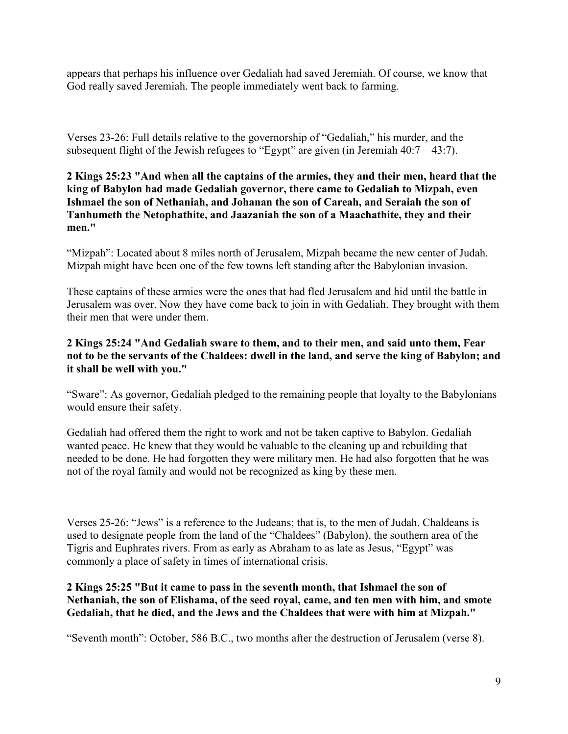appears that perhaps his influence over Gedaliah had saved Jeremiah. Of course, we know that God really saved Jeremiah. The people immediately went back to farming.

Verses 23-26: Full details relative to the governorship of "Gedaliah," his murder, and the subsequent flight of the Jewish refugees to "Egypt" are given (in Jeremiah  $40:7 - 43:7$ ).

# **2 Kings 25:23 "And when all the captains of the armies, they and their men, heard that the king of Babylon had made Gedaliah governor, there came to Gedaliah to Mizpah, even Ishmael the son of Nethaniah, and Johanan the son of Careah, and Seraiah the son of Tanhumeth the Netophathite, and Jaazaniah the son of a Maachathite, they and their men."**

"Mizpah": Located about 8 miles north of Jerusalem, Mizpah became the new center of Judah. Mizpah might have been one of the few towns left standing after the Babylonian invasion.

These captains of these armies were the ones that had fled Jerusalem and hid until the battle in Jerusalem was over. Now they have come back to join in with Gedaliah. They brought with them their men that were under them.

# **2 Kings 25:24 "And Gedaliah sware to them, and to their men, and said unto them, Fear not to be the servants of the Chaldees: dwell in the land, and serve the king of Babylon; and it shall be well with you."**

"Sware": As governor, Gedaliah pledged to the remaining people that loyalty to the Babylonians would ensure their safety.

Gedaliah had offered them the right to work and not be taken captive to Babylon. Gedaliah wanted peace. He knew that they would be valuable to the cleaning up and rebuilding that needed to be done. He had forgotten they were military men. He had also forgotten that he was not of the royal family and would not be recognized as king by these men.

Verses 25-26: "Jews" is a reference to the Judeans; that is, to the men of Judah. Chaldeans is used to designate people from the land of the "Chaldees" (Babylon), the southern area of the Tigris and Euphrates rivers. From as early as Abraham to as late as Jesus, "Egypt" was commonly a place of safety in times of international crisis.

#### **2 Kings 25:25 "But it came to pass in the seventh month, that Ishmael the son of Nethaniah, the son of Elishama, of the seed royal, came, and ten men with him, and smote Gedaliah, that he died, and the Jews and the Chaldees that were with him at Mizpah."**

"Seventh month": October, 586 B.C., two months after the destruction of Jerusalem (verse 8).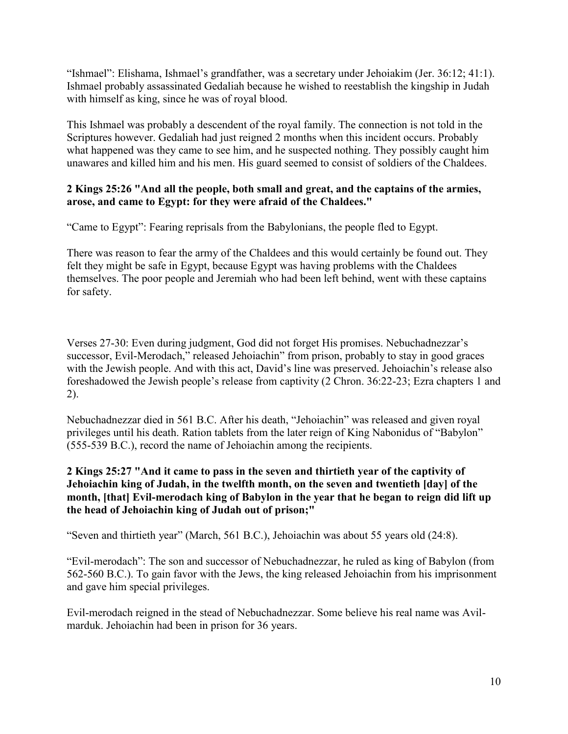"Ishmael": Elishama, Ishmael's grandfather, was a secretary under Jehoiakim (Jer. 36:12; 41:1). Ishmael probably assassinated Gedaliah because he wished to reestablish the kingship in Judah with himself as king, since he was of royal blood.

This Ishmael was probably a descendent of the royal family. The connection is not told in the Scriptures however. Gedaliah had just reigned 2 months when this incident occurs. Probably what happened was they came to see him, and he suspected nothing. They possibly caught him unawares and killed him and his men. His guard seemed to consist of soldiers of the Chaldees.

### **2 Kings 25:26 "And all the people, both small and great, and the captains of the armies, arose, and came to Egypt: for they were afraid of the Chaldees."**

"Came to Egypt": Fearing reprisals from the Babylonians, the people fled to Egypt.

There was reason to fear the army of the Chaldees and this would certainly be found out. They felt they might be safe in Egypt, because Egypt was having problems with the Chaldees themselves. The poor people and Jeremiah who had been left behind, went with these captains for safety.

Verses 27-30: Even during judgment, God did not forget His promises. Nebuchadnezzar's successor, Evil-Merodach," released Jehoiachin" from prison, probably to stay in good graces with the Jewish people. And with this act, David's line was preserved. Jehoiachin's release also foreshadowed the Jewish people's release from captivity (2 Chron. 36:22-23; Ezra chapters 1 and 2).

Nebuchadnezzar died in 561 B.C. After his death, "Jehoiachin" was released and given royal privileges until his death. Ration tablets from the later reign of King Nabonidus of "Babylon" (555-539 B.C.), record the name of Jehoiachin among the recipients.

**2 Kings 25:27 "And it came to pass in the seven and thirtieth year of the captivity of Jehoiachin king of Judah, in the twelfth month, on the seven and twentieth [day] of the**  month, [that] Evil-merodach king of Babylon in the year that he began to reign did lift up **the head of Jehoiachin king of Judah out of prison;"**

"Seven and thirtieth year" (March, 561 B.C.), Jehoiachin was about 55 years old (24:8).

"Evil-merodach": The son and successor of Nebuchadnezzar, he ruled as king of Babylon (from 562-560 B.C.). To gain favor with the Jews, the king released Jehoiachin from his imprisonment and gave him special privileges.

Evil-merodach reigned in the stead of Nebuchadnezzar. Some believe his real name was Avilmarduk. Jehoiachin had been in prison for 36 years.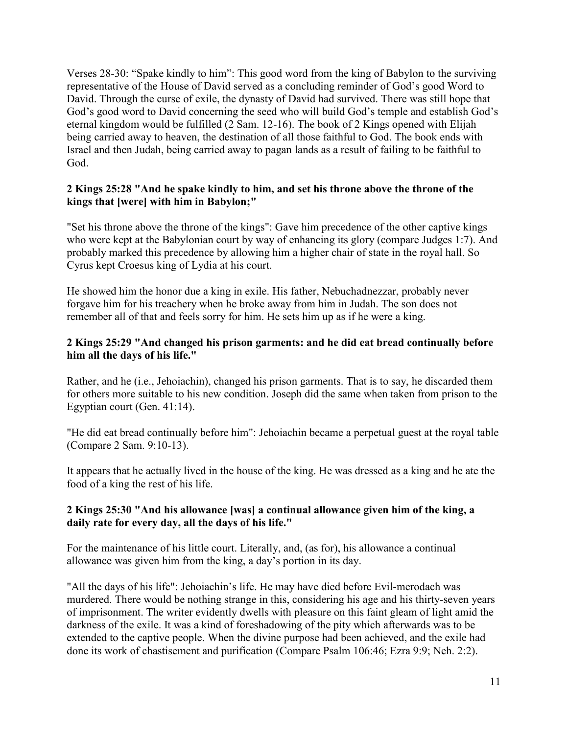Verses 28-30: "Spake kindly to him": This good word from the king of Babylon to the surviving representative of the House of David served as a concluding reminder of God's good Word to David. Through the curse of exile, the dynasty of David had survived. There was still hope that God's good word to David concerning the seed who will build God's temple and establish God's eternal kingdom would be fulfilled (2 Sam. 12-16). The book of 2 Kings opened with Elijah being carried away to heaven, the destination of all those faithful to God. The book ends with Israel and then Judah, being carried away to pagan lands as a result of failing to be faithful to God.

#### **2 Kings 25:28 "And he spake kindly to him, and set his throne above the throne of the kings that [were] with him in Babylon;"**

"Set his throne above the throne of the kings": Gave him precedence of the other captive kings who were kept at the Babylonian court by way of enhancing its glory (compare Judges 1:7). And probably marked this precedence by allowing him a higher chair of state in the royal hall. So Cyrus kept Croesus king of Lydia at his court.

He showed him the honor due a king in exile. His father, Nebuchadnezzar, probably never forgave him for his treachery when he broke away from him in Judah. The son does not remember all of that and feels sorry for him. He sets him up as if he were a king.

# **2 Kings 25:29 "And changed his prison garments: and he did eat bread continually before him all the days of his life."**

Rather, and he (i.e., Jehoiachin), changed his prison garments. That is to say, he discarded them for others more suitable to his new condition. Joseph did the same when taken from prison to the Egyptian court (Gen. 41:14).

"He did eat bread continually before him": Jehoiachin became a perpetual guest at the royal table (Compare 2 Sam. 9:10-13).

It appears that he actually lived in the house of the king. He was dressed as a king and he ate the food of a king the rest of his life.

#### **2 Kings 25:30 "And his allowance [was] a continual allowance given him of the king, a daily rate for every day, all the days of his life."**

For the maintenance of his little court. Literally, and, (as for), his allowance a continual allowance was given him from the king, a day's portion in its day.

"All the days of his life": Jehoiachin's life. He may have died before Evil-merodach was murdered. There would be nothing strange in this, considering his age and his thirty-seven years of imprisonment. The writer evidently dwells with pleasure on this faint gleam of light amid the darkness of the exile. It was a kind of foreshadowing of the pity which afterwards was to be extended to the captive people. When the divine purpose had been achieved, and the exile had done its work of chastisement and purification (Compare Psalm 106:46; Ezra 9:9; Neh. 2:2).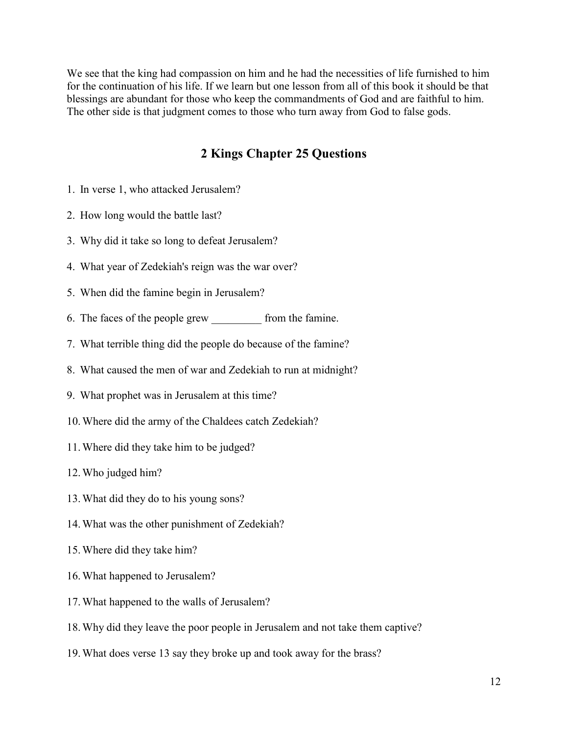We see that the king had compassion on him and he had the necessities of life furnished to him for the continuation of his life. If we learn but one lesson from all of this book it should be that blessings are abundant for those who keep the commandments of God and are faithful to him. The other side is that judgment comes to those who turn away from God to false gods.

# **2 Kings Chapter 25 Questions**

- 1. In verse 1, who attacked Jerusalem?
- 2. How long would the battle last?
- 3. Why did it take so long to defeat Jerusalem?
- 4. What year of Zedekiah's reign was the war over?
- 5. When did the famine begin in Jerusalem?
- 6. The faces of the people grew from the famine.
- 7. What terrible thing did the people do because of the famine?
- 8. What caused the men of war and Zedekiah to run at midnight?
- 9. What prophet was in Jerusalem at this time?
- 10.Where did the army of the Chaldees catch Zedekiah?
- 11.Where did they take him to be judged?
- 12.Who judged him?
- 13.What did they do to his young sons?
- 14.What was the other punishment of Zedekiah?
- 15.Where did they take him?
- 16.What happened to Jerusalem?
- 17.What happened to the walls of Jerusalem?
- 18.Why did they leave the poor people in Jerusalem and not take them captive?
- 19.What does verse 13 say they broke up and took away for the brass?